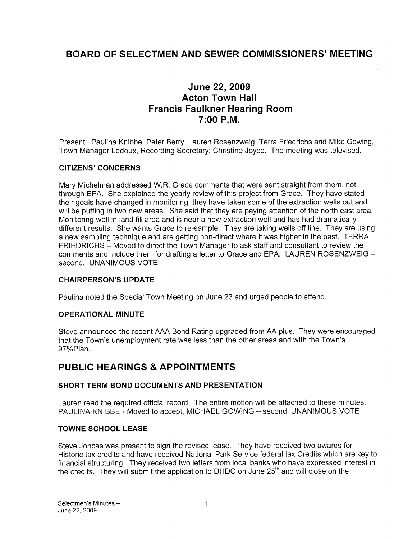# BOARD OF SELECTMEN AND SEWER COMMISSIONERS' MEETING

# June 22, 2009 Acton Town Hall Francis Faulkner Hearing Room 7:00 P.M.

Present: Paulina Knibbe, Peter Berry, Lauren Rosenzweig, Terra Friedrichs and Mike Gowing, Town Manager Ledoux, Recording Secretary; Christine Joyce. The meeting was televised.

## CITIZENS' CONCERNS

Mary Michelman addressed W.R. Grace comments that were sent straight from them, not through EPA. She explained the yearly review of this project from Grace. They have stated their goals have changed in monitoring; they have taken some of the extraction wells out and will be putting in two new areas. She said that they are paying attention of the north east area. Monitoring well in land fill area and is near a new extraction well and has had dramatically different results. She wants Grace to re-sample. They are taking wells off line. They are using a new sampling technique and are getting non-direct where it was higher in the past. TERRA FRIEDRICHS — Moved to direct the Town Manager to ask staff and consultant to review the comments and include them for drafting a letter to Grace and EPA. LAUREN ROSENZWEIG second. UNANIMOUS VOTE

### CHAIRPERSON'S UPDATE

Paulina noted the Special Town Meeting on June 23 and urged people to attend.

### OPERATIONAL MINUTE

Steve announced the recent AAA Bond Rating upgraded from AA plus. They were encouraged that the Town's unemployment rate was less than the other areas and with the Town's 97%PIan.

# PUBLIC HEARINGS & APPOINTMENTS

### SHORT TERM BOND DOCUMENTS AND PRESENTATION

Lauren read the required official record. The entire motion will be attached to these minutes. PAULINA KNIBBE - Moved to accept, MICHAEL GOWING — second UNANIMOUS VOTE

### TOWNE SCHOOL LEASE

Steve Joncas was present to sign the revised lease. They have received two awards for Historic tax credits and have received National Park Service federal tax Credits which are key to financial structuring. They received two letters from local banks who have expressed interest in the credits. They will submit the application to DHDC on June 25<sup>th</sup> and will close on the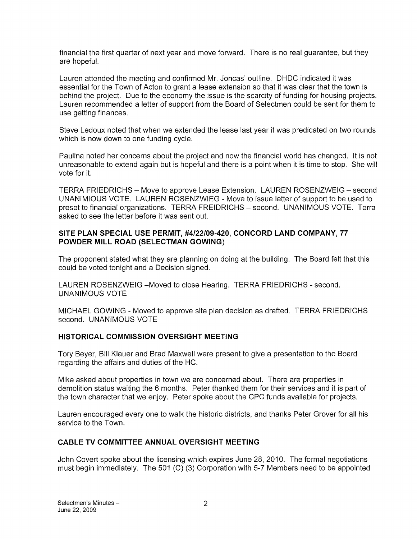financial the first quarter of next year and move forward. There is no real guarantee, but they are hopeful.

Lauren attended the meeting and confirmed Mr. Joncas' outline. DHDC indicated it was essential for the Town of Acton to grant a lease extension so that it was clear that the town is behind the project. Due to the economy the issue is the scarcity of funding for housing projects. Lauren recommended a letter of support from the Board of Selectmen could be sent for them to use getting finances.

Steve Ledoux noted that when we extended the lease last year it was predicated on two rounds which is now down to one funding cycle.

Paulina noted her concerns about the project and now the financial world has changed. It is not unreasonable to extend again but is hopeful and there is a point when it is time to stop. She will vote for it.

TERRA FRIEDRICHS — Move to approve Lease Extension. LAUREN ROSENZWEIG — second UNANIMIOUS VOTE. LAUREN ROSENZWIEG - Move to issue letter of support to be used to preset to financial organizations. TERRA FREIDRICHS — second. UNANIMOUS VOTE. Terra asked to see the letter before it was sent out.

### SITE PLAN SPECIAL USE PERMIT, #4/22/09-420, CONCORD LAND COMPANY, 77 POWDER MILL ROAD (SELECTMAN GOWING)

The proponent stated what they are planning on doing at the building. The Board felt that this could be voted tonight and a Decision signed.

LAUREN ROSENZWEIG - Moved to close Hearing. TERRA FRIEDRICHS - second. UNANIMOUS VOTE

MICHAEL GOWING -Moved to approve site plan decision as drafted. TERRA FRIEDRICHS second. UNANIMOUS VOTE

### HISTORICAL COMMISSION OVERSIGHT MEETING

Tory Beyer, Bill Klauer and Brad Maxwell were present to give a presentation to the Board regarding the affairs and duties of the HC.

Mike asked about properties in town we are concerned about. There are properties in demolition status waiting the 6 months. Peter thanked them for their services and it is part of the town character that we enjoy. Peter spoke about the CPC funds available for projects.

Lauren encouraged every one to walk the historic districts, and thanks Peter Grover for all his service to the Town.

### CABLE TV COMMITTEE ANNUAL OVERSIGHT MEETING

John Covert spoke about the licensing which expires June 28, 2010. The formal negotiations must begin immediately. The 501 (C) (3) Corporation with 5-7 Members need to be appointed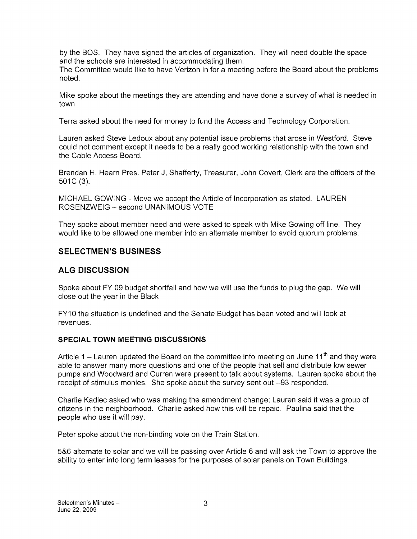by the BOS. They have signed the articles of organization. They will need double the space and the schools are interested in accommodating them.

The Committee would like to have Verizon in for a meeting before the Board about the problems noted.

Mike spoke about the meetings they are attending and have done a survey of what is needed in town.

Terra asked about the need for money to fund the Access and Technology Corporation.

Lauren asked Steve Ledoux about any potential issue problems that arose in Westford. Steve could not comment except it needs to be a really good working relationship with the town and the Cable Access Board.

Brendan H. Hearn Pres. Peter J, Shafferty, Treasurer, John Covert, Clerk are the officers of the 501C (3).

MICHAEL GOWING - Move we accept the Article of Incorporation as stated. LAUREN ROSENZWEIG — second UNANIMOUS VOTE

They spoke about member need and were asked to speak with Mike Gowing off line. They would like to be allowed one member into an alternate member to avoid quorum problems.

## SELECTMEN'S BUSINESS

# ALG DISCUSSION

Spoke about FY 09 budget shortfall and how we will use the funds to plug the gap. We will close out the year in the Black

FY10 the situation is undefined and the Senate Budget has been voted and will look at revenues.

### SPECIAL TOWN MEETING DISCUSSIONS

Article 1 – Lauren updated the Board on the committee info meeting on June  $11<sup>th</sup>$  and they were able to answer many more questions and one of the people that sell and distribute low sewer pumps and Woodward and Curren were present to talk about systems. Lauren spoke about the receipt of stimulus monies. She spoke about the survey sent out --93 responded.

Charlie Kadlec asked who was making the amendment change; Lauren said it was a group of citizens in the neighborhood. Charlie asked how this will be repaid. Paulina said that the people who use it will pay.

Peter spoke about the non-binding vote on the Train Station.

5&6 alternate to solar and we will be passing over Article 6 and will ask the Town to approve the ability to enter into long term leases for the purposes of solar panels on Town Buildings.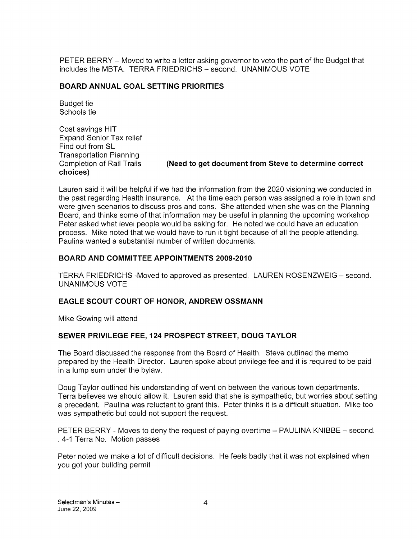PETER BERRY — Moved to write a letter asking governor to veto the part of the Budget that includes the MBTA. TERRA FRIEDRICHS — second. UNANIMOUS VOTE

### BOARD ANNUAL GOAL SETTING PRIORITIES

Budget tie Schools tie

Cost savings HIT Expand Senior Tax relief Find out from SL Transportation Planning choices)

Completion of Rail Trails (Need to get document from Steve to determine correct

Lauren said it will be helpful if we had the information from the 2020 visioning we conducted in the past regarding Health Insurance. At the time each person was assigned a role in town and were given scenarios to discuss pros and cons. She attended when she was on the Planning Board, and thinks some of that information may be useful in planning the upcoming workshop Peter asked what level people would be asking for. He noted we could have an education process. Mike noted that we would have to run it tight because of all the people attending. Paulina wanted a substantial number of written documents.

### BOARD AND COMMITTEE APPOINTMENTS 2009-2010

TERRA FRIEDRICHS -Moved to approved as presented. LAUREN ROSENZWEIG — second. UNANIMOUS VOTE

## EAGLE SCOUT COURT OF HONOR, ANDREW OSSMANN

Mike Gowing will attend

## SEWER PRIVILEGE FEE, 124 PROSPECT STREET, DOUG TAYLOR

The Board discussed the response from the Board of Health. Steve outlined the memo prepared by the Health Director. Lauren spoke about privilege fee and it is required to be paid in a lump sum under the bylaw.

Doug Taylor outlined his understanding of went on between the various town departments. Terra believes we should allow it. Lauren said that she is sympathetic, but worries about setting a precedent. Paulina was reluctant to grant this. Peter thinks it is a difficult situation. Mike too was sympathetic but could not support the request.

PETER BERRY - Moves to deny the request of paying overtime - PAULINA KNIBBE - second. 4-1 Terra No. Motion passes

Peter noted we make a lot of difficult decisions. He feels badly that it was not explained when you got your building permit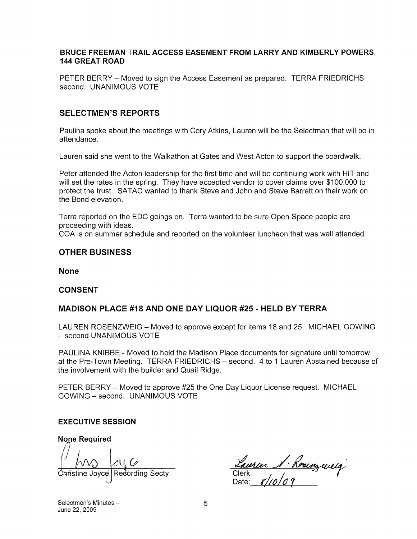#### BRUCE FREEMAN TRAIL ACCESS EASEMENT FROM LARRY AND KIMBERLY POWERS, 144 GREAT ROAD

PETER BERRY — Moved to sign the Access Easement as prepared. TERRA FRIEDRICHS second. UNANIMOUS VOTE

## SELECTMEN'S REPORTS

Paulina spoke about the meetings with Cory Atkins, Lauren will be the Selectman that will be in attendance.

Lauren said she went to the Walkathon at Gates and West Acton to support the boardwalk.

Peter attended the Acton leadership for the first time and will be continuing work with HIT and will set the rates in the spring. They have accepted vendor to cover claims over \$100,000 to protect the trust. SATAC wanted to thank Steve and John and Steve Barrett on their work on the Bond elevation.

Terra reported on the EDC goings on. Terra wanted to be sure Open Space people are proceeding with ideas.

COA is on summer schedule and reported on the volunteer luncheon that was well attended.

#### OTHER BUSINESS

None

### CONSENT

### MADISON PLACE #18 AND ONE DAY LIQUOR #25 - HELD BY TERRA

LAUREN ROSENZWEIG — Moved to approve except for items 18 and 25. MICHAEL GOWING — second UNANIMOUS VOTE

PAULINA KNIBBE - Moved to hold the Madison Place documents for signature until tomorrow at the Pre-Town Meeting. TERRA FRIEDRICHS — second. 4 to <sup>1</sup> Lauren Abstained because of the involvement with the builder and Quail Ridge.

PETER BERRY — Moved to approve #25 the One Day Liquor License request. MICHAEL GOWING — second. UNANIMOUS VOTE

#### EXECUTIVE SESSION

None Required d i&t 0'

( M) CV, C<br>Christine Joyce, Redording Secty<br>Date: 8/10/09

Selectmen's Minutes — 5 June 22, 2009